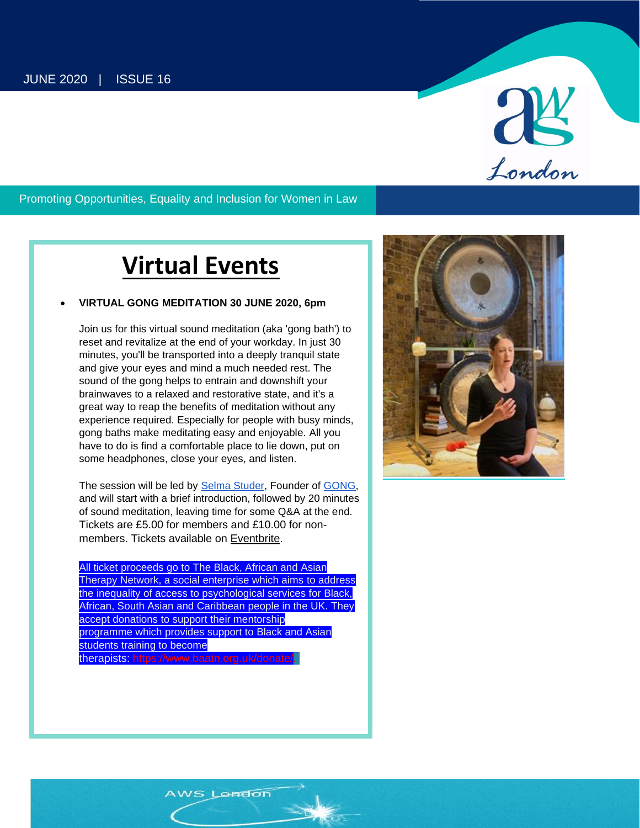

#### Promoting Opportunities, Equality and Inclusion for Women in Law

**AWS LONDON NEWSLETTER | Issue 16 1**

## **Virtual Events**

#### • **VIRTUAL GONG MEDITATION 30 JUNE 2020, 6pm**

Join us for this virtual sound meditation (aka 'gong bath') to reset and revitalize at the end of your workday. In just 30 minutes, you'll be transported into a deeply tranquil state and give your eyes and mind a much needed rest. The sound of the gong helps to entrain and downshift your brainwaves to a relaxed and restorative state, and it's a great way to reap the benefits of meditation without any experience required. Especially for people with busy minds, gong baths make meditating easy and enjoyable. All you have to do is find a comfortable place to lie down, put on some headphones, close your eyes, and listen.

The session will be led by [Selma Studer,](https://eur04.safelinks.protection.outlook.com/?url=https%3A%2F%2Fwww.linkedin.com%2Fin%2Fselmastuder%2F&data=02%7C01%7C%7Ce9b4811e50e443a1ef5208d80ba33a00%7C84df9e7fe9f640afb435aaaaaaaaaaaa%7C1%7C0%7C637272143010876497&sdata=sWxby0r%2F2Te9pf5DbZRHLQI3vpApHGoc5psQ8Cjxc6k%3D&reserved=0) Founder of [GONG,](https://eur04.safelinks.protection.outlook.com/?url=https%3A%2F%2Fwww.aboutgong.com%2F&data=02%7C01%7C%7Ce9b4811e50e443a1ef5208d80ba33a00%7C84df9e7fe9f640afb435aaaaaaaaaaaa%7C1%7C0%7C637272143010886491&sdata=5Qt8jQSaQC%2FQrpbG5V440W%2Frbp%2B1LUiR5aU3P10Pkb4%3D&reserved=0) and will start with a brief introduction, followed by 20 minutes of sound meditation, leaving time for some Q&A at the end. Tickets are £5.00 for members and £10.00 for nonmembers. Tickets available on [Eventbrite.](https://awslondon.us12.list-manage.com/track/click?u=a1991f7314b4a209f8ed0942f&id=7c26565fc8&e=284484dd43)

All ticket proceeds go to The Black, African and Asian Therapy Network, a social enterprise which aims to address the inequality of access to psychological services for Black, African, South Asian and Caribbean people in the UK. They accept donations to support their mentorship programme which provides support to Black and Asian students training to become therapists: [https://www.baatn.org.uk/donate/.](https://awslondon.us12.list-manage.com/track/click?u=a1991f7314b4a209f8ed0942f&id=163a0c5831&e=284484dd43)

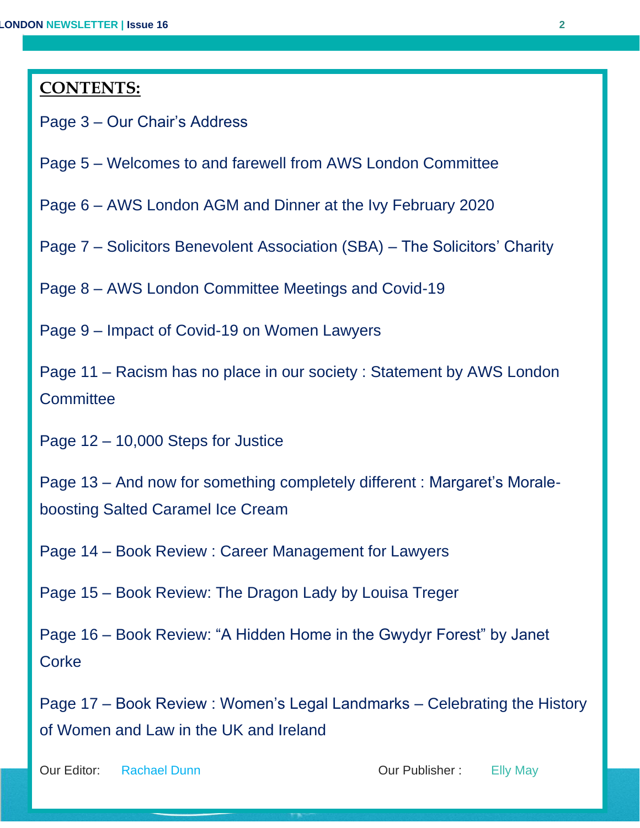### **CONTENTS:**

Page 3 – Our Chair's Address

Page 5 – Welcomes to and farewell from AWS London Committee

Page 6 – AWS London AGM and Dinner at the Ivy February 2020

Page 7 – Solicitors Benevolent Association (SBA) – The Solicitors' Charity

Page 8 – AWS London Committee Meetings and Covid-19

Page 9 – Impact of Covid-19 on Women Lawyers

Page 11 – Racism has no place in our society : Statement by AWS London **Committee** 

Page 12 – 10,000 Steps for Justice

Page 13 – And now for something completely different : Margaret's Moraleboosting Salted Caramel Ice Cream

Page 14 – Book Review : Career Management for Lawyers

Page 15 – Book Review: The Dragon Lady by Louisa Treger

Page 16 – Book Review: "A Hidden Home in the Gwydyr Forest" by Janet **Corke** 

Page 17 – Book Review : Women's Legal Landmarks – Celebrating the History of Women and Law in the UK and Ireland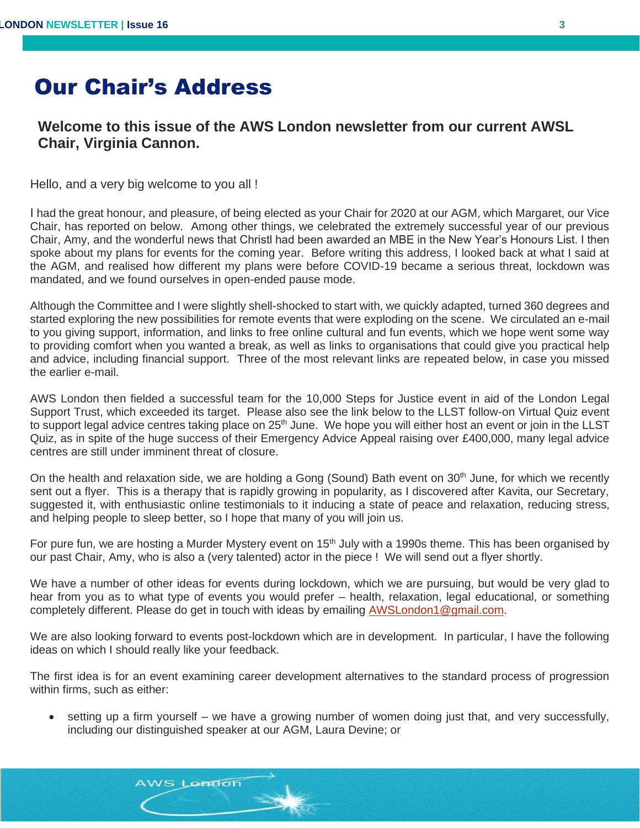## Our Chair's Address

#### **Welcome to this issue of the AWS London newsletter from our current AWSL Chair, Virginia Cannon.**

Hello, and a very big welcome to you all !

I had the great honour, and pleasure, of being elected as your Chair for 2020 at our AGM, which Margaret, our Vice Chair, has reported on below. Among other things, we celebrated the extremely successful year of our previous Chair, Amy, and the wonderful news that Christl had been awarded an MBE in the New Year's Honours List. I then spoke about my plans for events for the coming year. Before writing this address, I looked back at what I said at the AGM, and realised how different my plans were before COVID-19 became a serious threat, lockdown was mandated, and we found ourselves in open-ended pause mode.

Although the Committee and I were slightly shell-shocked to start with, we quickly adapted, turned 360 degrees and started exploring the new possibilities for remote events that were exploding on the scene. We circulated an e-mail to you giving support, information, and links to free online cultural and fun events, which we hope went some way to providing comfort when you wanted a break, as well as links to organisations that could give you practical help and advice, including financial support. Three of the most relevant links are repeated below, in case you missed the earlier e-mail.

AWS London then fielded a successful team for the 10,000 Steps for Justice event in aid of the London Legal Support Trust, which exceeded its target. Please also see the link below to the LLST follow-on Virtual Quiz event to support legal advice centres taking place on 25<sup>th</sup> June. We hope you will either host an event or join in the LLST Quiz, as in spite of the huge success of their Emergency Advice Appeal raising over £400,000, many legal advice centres are still under imminent threat of closure.

On the health and relaxation side, we are holding a Gong (Sound) Bath event on 30<sup>th</sup> June, for which we recently sent out a flyer. This is a therapy that is rapidly growing in popularity, as I discovered after Kavita, our Secretary, suggested it, with enthusiastic online testimonials to it inducing a state of peace and relaxation, reducing stress, and helping people to sleep better, so I hope that many of you will join us.

For pure fun, we are hosting a Murder Mystery event on  $15<sup>th</sup>$  July with a 1990s theme. This has been organised by our past Chair, Amy, who is also a (very talented) actor in the piece ! We will send out a flyer shortly.

We have a number of other ideas for events during lockdown, which we are pursuing, but would be very glad to hear from you as to what type of events you would prefer – health, relaxation, legal educational, or something completely different. Please do get in touch with ideas by emailing [AWSLondon1@gmail.com.](mailto:AWSLondon1@gmail.com)

We are also looking forward to events post-lockdown which are in development. In particular, I have the following ideas on which I should really like your feedback.

The first idea is for an event examining career development alternatives to the standard process of progression within firms, such as either:

AWS London

• setting up a firm yourself – we have a growing number of women doing just that, and very successfully, including our distinguished speaker at our AGM, Laura Devine; or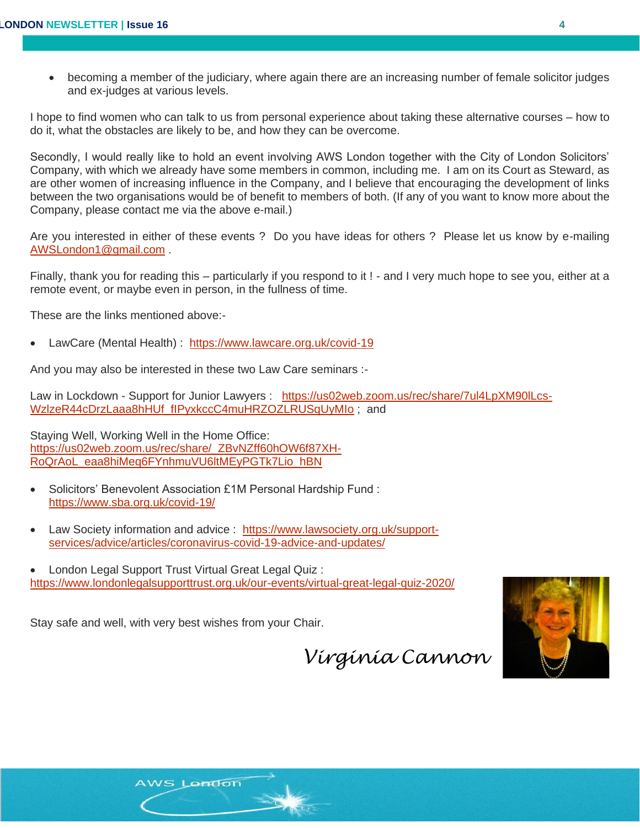• becoming a member of the judiciary, where again there are an increasing number of female solicitor judges and ex-judges at various levels.

I hope to find women who can talk to us from personal experience about taking these alternative courses – how to do it, what the obstacles are likely to be, and how they can be overcome.

Secondly, I would really like to hold an event involving AWS London together with the City of London Solicitors' Company, with which we already have some members in common, including me. I am on its Court as Steward, as are other women of increasing influence in the Company, and I believe that encouraging the development of links between the two organisations would be of benefit to members of both. (If any of you want to know more about the Company, please contact me via the above e-mail.)

Are you interested in either of these events ? Do you have ideas for others ? Please let us know by e-mailing [AWSLondon1@gmail.com](mailto:AWSLondon1@gmail.com) .

Finally, thank you for reading this – particularly if you respond to it ! - and I very much hope to see you, either at a remote event, or maybe even in person, in the fullness of time.

These are the links mentioned above:-

• LawCare (Mental Health) : [https://www.lawcare.org.uk/covid-19](https://awslondon.us12.list-manage.com/track/click?u=a1991f7314b4a209f8ed0942f&id=331ba1bcbf&e=de52ebefe2) 

And you may also be interested in these two Law Care seminars :-

Law in Lockdown - Support for Junior Lawyers : [https://us02web.zoom.us/rec/share/7ul4LpXM90lLcs-](https://us02web.zoom.us/rec/share/7ul4LpXM90lLcs-WzlzeR44cDrzLaaa8hHUf_fIPyxkccC4muHRZOZLRUSqUyMIo)[WzlzeR44cDrzLaaa8hHUf\\_fIPyxkccC4muHRZOZLRUSqUyMIo](https://us02web.zoom.us/rec/share/7ul4LpXM90lLcs-WzlzeR44cDrzLaaa8hHUf_fIPyxkccC4muHRZOZLRUSqUyMIo) ; and

Staying Well, Working Well in the Home Office: [https://us02web.zoom.us/rec/share/\\_ZBvNZff60hOW6f87XH-](https://us02web.zoom.us/rec/share/_ZBvNZff60hOW6f87XH-RoQrAoL_eaa8hiMeq6FYnhmuVU6ltMEyPGTk7Lio_hBN)[RoQrAoL\\_eaa8hiMeq6FYnhmuVU6ltMEyPGTk7Lio\\_hBN](https://us02web.zoom.us/rec/share/_ZBvNZff60hOW6f87XH-RoQrAoL_eaa8hiMeq6FYnhmuVU6ltMEyPGTk7Lio_hBN)

- Solicitors' Benevolent Association £1M Personal Hardship Fund : [https://www.sba.org.uk/covid-19/](https://awslondon.us12.list-manage.com/track/click?u=a1991f7314b4a209f8ed0942f&id=1189a7a291&e=de52ebefe2)
- Law Society information and advice : [https://www.lawsociety.org.uk/support](https://awslondon.us12.list-manage.com/track/click?u=a1991f7314b4a209f8ed0942f&id=97032e9c33&e=de52ebefe2)[services/advice/articles/coronavirus-covid-19-advice-and-updates/](https://awslondon.us12.list-manage.com/track/click?u=a1991f7314b4a209f8ed0942f&id=97032e9c33&e=de52ebefe2)
- London Legal Support Trust Virtual Great Legal Quiz : <https://www.londonlegalsupporttrust.org.uk/our-events/virtual-great-legal-quiz-2020/>

Stay safe and well, with very best wishes from your Chair.

AWS London

 *Virginia Cannon*

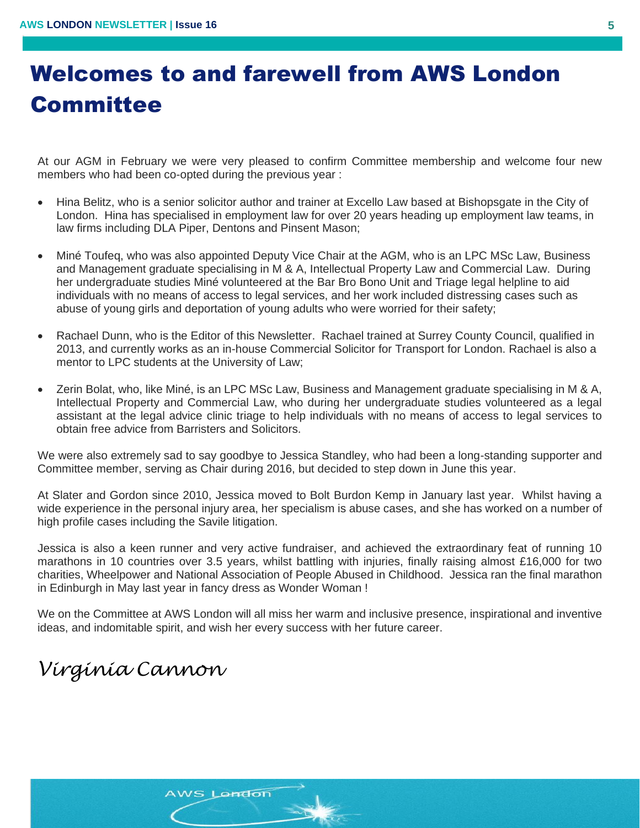## Welcomes to and farewell from AWS London **Committee**

At our AGM in February we were very pleased to confirm Committee membership and welcome four new members who had been co-opted during the previous year :

- Hina Belitz, who is a senior solicitor author and trainer at Excello Law based at Bishopsgate in the City of London. Hina has specialised in employment law for over 20 years heading up employment law teams, in law firms including DLA Piper, Dentons and Pinsent Mason;
- Miné Toufeq, who was also appointed Deputy Vice Chair at the AGM, who is an LPC MSc Law, Business and Management graduate specialising in M & A, Intellectual Property Law and Commercial Law. During her undergraduate studies Miné volunteered at the Bar Bro Bono Unit and Triage legal helpline to aid individuals with no means of access to legal services, and her work included distressing cases such as abuse of young girls and deportation of young adults who were worried for their safety;
- Rachael Dunn, who is the Editor of this Newsletter. Rachael trained at Surrey County Council, qualified in 2013, and currently works as an in-house Commercial Solicitor for Transport for London. Rachael is also a mentor to LPC students at the University of Law;
- Zerin Bolat, who, like Miné, is an LPC MSc Law, Business and Management graduate specialising in M & A, Intellectual Property and Commercial Law, who during her undergraduate studies volunteered as a legal assistant at the legal advice clinic triage to help individuals with no means of access to legal services to obtain free advice from Barristers and Solicitors.

We were also extremely sad to say goodbye to Jessica Standley, who had been a long-standing supporter and Committee member, serving as Chair during 2016, but decided to step down in June this year.

At Slater and Gordon since 2010, Jessica moved to Bolt Burdon Kemp in January last year. Whilst having a wide experience in the personal injury area, her specialism is abuse cases, and she has worked on a number of high profile cases including the Savile litigation.

Jessica is also a keen runner and very active fundraiser, and achieved the extraordinary feat of running 10 marathons in 10 countries over 3.5 years, whilst battling with injuries, finally raising almost £16,000 for two charities, Wheelpower and National Association of People Abused in Childhood. Jessica ran the final marathon in Edinburgh in May last year in fancy dress as Wonder Woman !

We on the Committee at AWS London will all miss her warm and inclusive presence, inspirational and inventive ideas, and indomitable spirit, and wish her every success with her future career.

## *Virginia Cannon*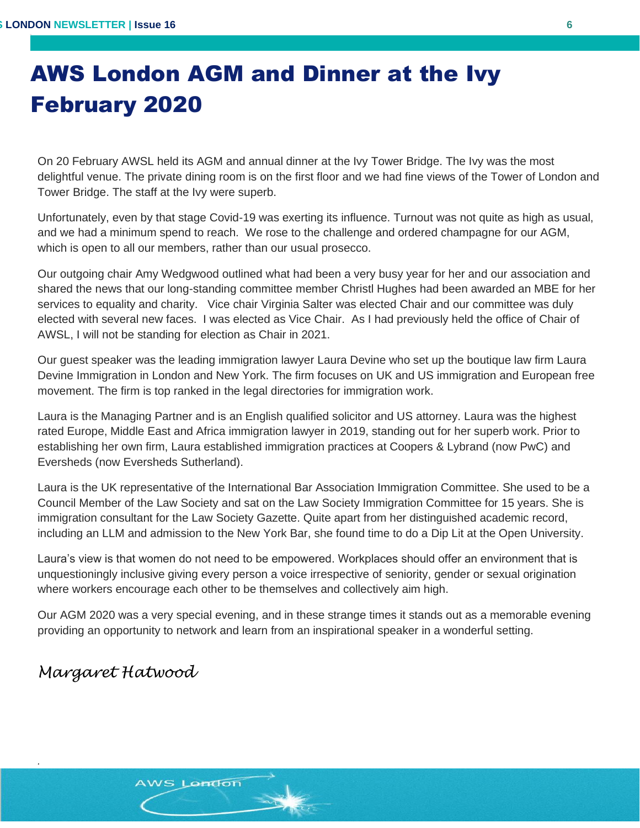# AWS London AGM and Dinner at the Ivy February 2020

On 20 February AWSL held its AGM and annual dinner at the Ivy Tower Bridge. The Ivy was the most delightful venue. The private dining room is on the first floor and we had fine views of the Tower of London and Tower Bridge. The staff at the Ivy were superb.

Unfortunately, even by that stage Covid-19 was exerting its influence. Turnout was not quite as high as usual, and we had a minimum spend to reach. We rose to the challenge and ordered champagne for our AGM, which is open to all our members, rather than our usual prosecco.

Our outgoing chair Amy Wedgwood outlined what had been a very busy year for her and our association and shared the news that our long-standing committee member Christl Hughes had been awarded an MBE for her services to equality and charity. Vice chair Virginia Salter was elected Chair and our committee was duly elected with several new faces. I was elected as Vice Chair. As I had previously held the office of Chair of AWSL, I will not be standing for election as Chair in 2021.

Our guest speaker was the leading immigration lawyer Laura Devine who set up the boutique law firm Laura Devine Immigration in London and New York. The firm focuses on UK and US immigration and European free movement. The firm is top ranked in the legal directories for immigration work.

Laura is the Managing Partner and is an English qualified solicitor and US attorney. Laura was the highest rated Europe, Middle East and Africa immigration lawyer in 2019, standing out for her superb work. Prior to establishing her own firm, Laura established immigration practices at Coopers & Lybrand (now PwC) and Eversheds (now Eversheds Sutherland).

Laura is the UK representative of the International Bar Association Immigration Committee. She used to be a Council Member of the Law Society and sat on the Law Society Immigration Committee for 15 years. She is immigration consultant for the Law Society Gazette. Quite apart from her distinguished academic record, including an LLM and admission to the New York Bar, she found time to do a Dip Lit at the Open University.

Laura's view is that women do not need to be empowered. Workplaces should offer an environment that is unquestioningly inclusive giving every person a voice irrespective of seniority, gender or sexual origination where workers encourage each other to be themselves and collectively aim high.

Our AGM 2020 was a very special evening, and in these strange times it stands out as a memorable evening providing an opportunity to network and learn from an inspirational speaker in a wonderful setting.

### *Margaret Hatwood*

*.*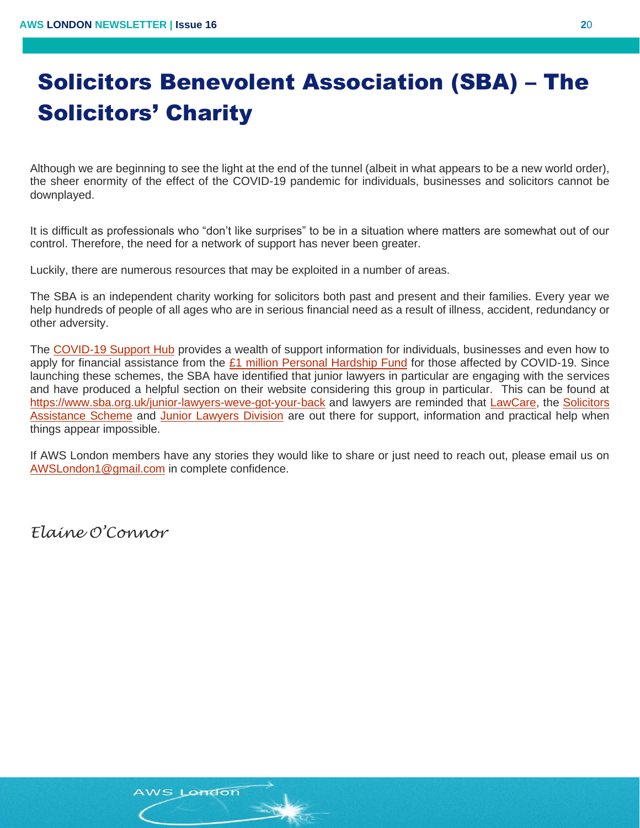# Solicitors Benevolent Association (SBA) – The Solicitors' Charity

Although we are beginning to see the light at the end of the tunnel (albeit in what appears to be a new world order), the sheer enormity of the effect of the COVID-19 pandemic for individuals, businesses and solicitors cannot be downplayed. |<br>|<br>|-

It is difficult as professionals who "don't like surprises" to be in a situation where matters are somewhat out of our control. Therefore, the need for a network of support has never been greater.

Luckily, there are numerous resources that may be exploited in a number of areas.

The SBA is an independent charity working for solicitors both past and present and their families. Every year we help hundreds of people of all ages who are in serious financial need as a result of illness, accident, redundancy or other adversity.

The [COVID-19 Support Hub](https://sba.org.uk/covid-19/) provides a wealth of support information for individuals, businesses and even how to apply for financial assistance from the [£1 million Personal Hardship Fund](https://sba.org.uk/covid-19/personal-hardship-fund/) for those affected by COVID-19. Since launching these schemes, the SBA have identified that junior lawyers in particular are engaging with the services and have produced a helpful section on their website considering this group in particular. This can be found at <https://www.sba.org.uk/junior-lawyers-weve-got-your-back> and lawyers are reminded that [LawCare,](https://www.lawcare.org.uk/) the [Solicitors](https://www.thesas.org.uk/)  [Assistance Scheme](https://www.thesas.org.uk/) and [Junior Lawyers Division](https://beta.lawsociety.org.uk/topics/junior-lawyers/) are out there for support, information and practical help when things appear impossible.

If AWS London members have any stories they would like to share or just need to reach out, please email us on [AWSLondon1@gmail.com](mailto:AWSLondon1@gmail.com) in complete confidence.

*Elaine O'Connor*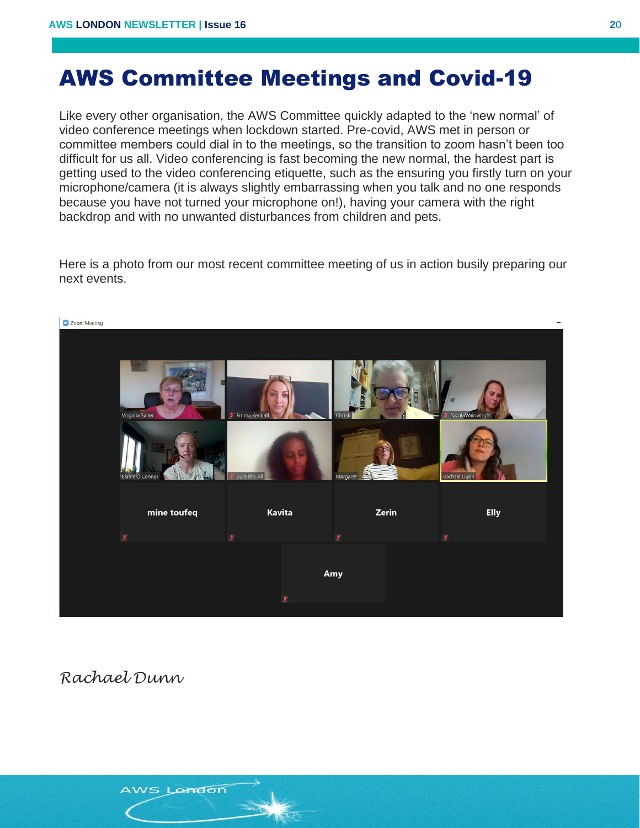## AWS Committee Meetings and Covid-19

Like every other organisation, the AWS Committee quickly adapted to the 'new normal' of video conference meetings when lockdown started. Pre-covid, AWS met in person or committee members could dial in to the meetings, so the transition to zoom hasn't been too difficult for us all. Video conferencing is fast becoming the new normal, the hardest part is getting used to the video conferencing etiquette, such as the ensuring you firstly turn on your microphone/camera (it is always slightly embarrassing when you talk and no one responds because you have not turned your microphone on!), having your camera with the right backdrop and with no unwanted disturbances from children and pets.

Here is a photo from our most recent committee meeting of us in action busily preparing our next events.



*Rachael Dunn*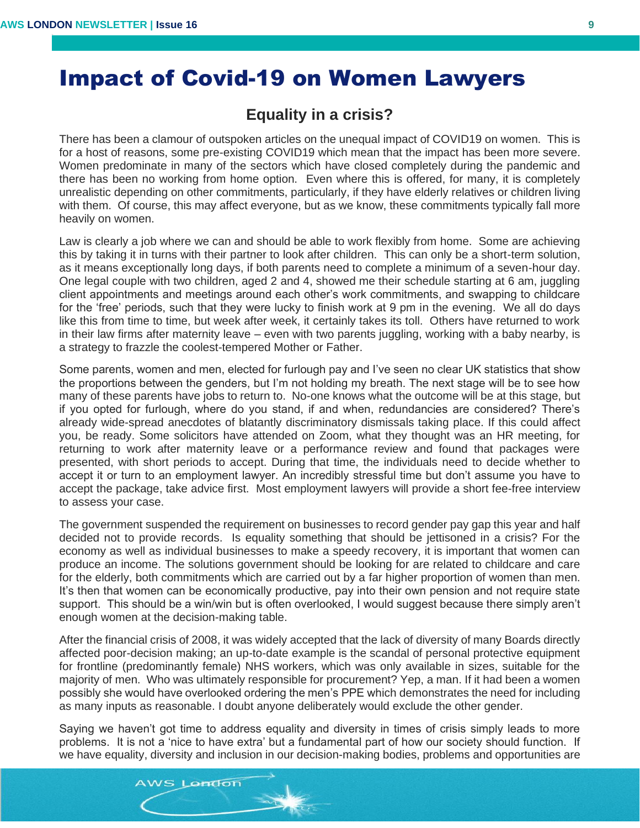## Impact of Covid-19 on Women Lawyers

#### **Equality in a crisis?**

There has been a clamour of outspoken articles on the unequal impact of COVID19 on women. This is for a host of reasons, some pre-existing COVID19 which mean that the impact has been more severe. Women predominate in many of the sectors which have closed completely during the pandemic and there has been no working from home option. Even where this is offered, for many, it is completely unrealistic depending on other commitments, particularly, if they have elderly relatives or children living with them. Of course, this may affect everyone, but as we know, these commitments typically fall more heavily on women.

Law is clearly a job where we can and should be able to work flexibly from home. Some are achieving this by taking it in turns with their partner to look after children. This can only be a short-term solution, as it means exceptionally long days, if both parents need to complete a minimum of a seven-hour day. One legal couple with two children, aged 2 and 4, showed me their schedule starting at 6 am, juggling client appointments and meetings around each other's work commitments, and swapping to childcare for the 'free' periods, such that they were lucky to finish work at 9 pm in the evening. We all do days like this from time to time, but week after week, it certainly takes its toll. Others have returned to work in their law firms after maternity leave – even with two parents juggling, working with a baby nearby, is a strategy to frazzle the coolest-tempered Mother or Father.

Some parents, women and men, elected for furlough pay and I've seen no clear UK statistics that show the proportions between the genders, but I'm not holding my breath. The next stage will be to see how many of these parents have jobs to return to. No-one knows what the outcome will be at this stage, but if you opted for furlough, where do you stand, if and when, redundancies are considered? There's already wide-spread anecdotes of blatantly discriminatory dismissals taking place. If this could affect you, be ready. Some solicitors have attended on Zoom, what they thought was an HR meeting, for returning to work after maternity leave or a performance review and found that packages were presented, with short periods to accept. During that time, the individuals need to decide whether to accept it or turn to an employment lawyer. An incredibly stressful time but don't assume you have to accept the package, take advice first. Most employment lawyers will provide a short fee-free interview to assess your case.

The government suspended the requirement on businesses to record gender pay gap this year and half decided not to provide records. Is equality something that should be jettisoned in a crisis? For the economy as well as individual businesses to make a speedy recovery, it is important that women can produce an income. The solutions government should be looking for are related to childcare and care for the elderly, both commitments which are carried out by a far higher proportion of women than men. It's then that women can be economically productive, pay into their own pension and not require state support. This should be a win/win but is often overlooked, I would suggest because there simply aren't enough women at the decision-making table.

After the financial crisis of 2008, it was widely accepted that the lack of diversity of many Boards directly affected poor-decision making; an up-to-date example is the scandal of personal protective equipment for frontline (predominantly female) NHS workers, which was only available in sizes, suitable for the majority of men. Who was ultimately responsible for procurement? Yep, a man. If it had been a women possibly she would have overlooked ordering the men's PPE which demonstrates the need for including as many inputs as reasonable. I doubt anyone deliberately would exclude the other gender.

Saying we haven't got time to address equality and diversity in times of crisis simply leads to more problems. It is not a 'nice to have extra' but a fundamental part of how our society should function. If we have equality, diversity and inclusion in our decision-making bodies, problems and opportunities are

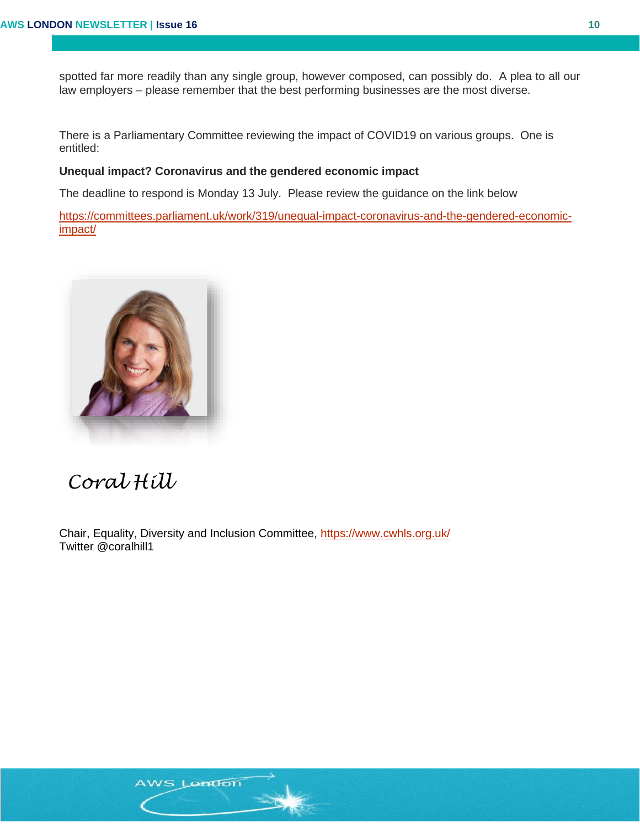spotted far more readily than any single group, however composed, can possibly do. A plea to all our law employers – please remember that the best performing businesses are the most diverse.

There is a Parliamentary Committee reviewing the impact of COVID19 on various groups. One is entitled:

#### **Unequal impact? Coronavirus and the gendered economic impact**

The deadline to respond is Monday 13 July. Please review the guidance on the link below

[https://committees.parliament.uk/work/319/unequal-impact-coronavirus-and-the-gendered-economic](https://committees.parliament.uk/work/319/unequal-impact-coronavirus-and-the-gendered-economic-impact/)[impact/](https://committees.parliament.uk/work/319/unequal-impact-coronavirus-and-the-gendered-economic-impact/)



## *Coral Hill*

Chair, Equality, Diversity and Inclusion Committee,<https://www.cwhls.org.uk/> Twitter @coralhill1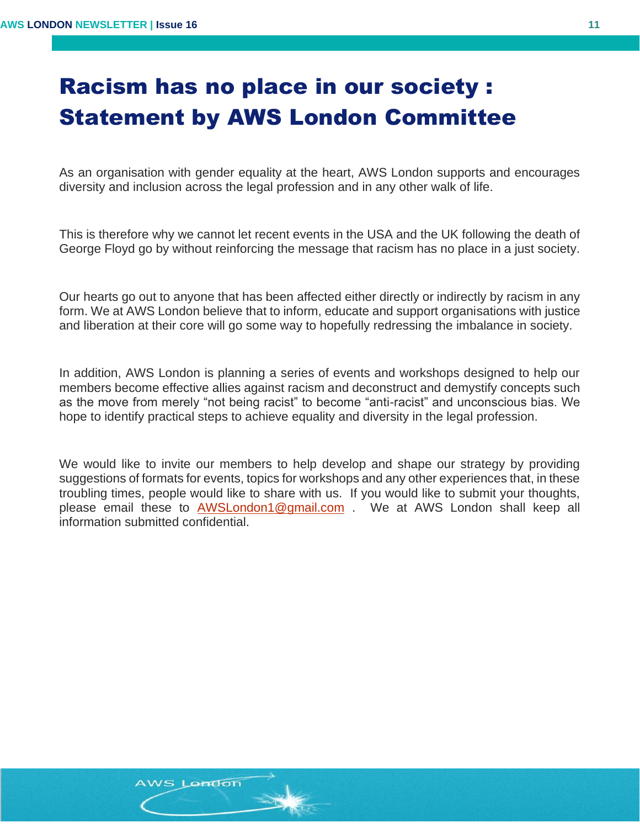## Racism has no place in our society : Statement by AWS London Committee

As an organisation with gender equality at the heart, AWS London supports and encourages diversity and inclusion across the legal profession and in any other walk of life.

This is therefore why we cannot let recent events in the USA and the UK following the death of George Floyd go by without reinforcing the message that racism has no place in a just society.

Our hearts go out to anyone that has been affected either directly or indirectly by racism in any form. We at AWS London believe that to inform, educate and support organisations with justice and liberation at their core will go some way to hopefully redressing the imbalance in society.

In addition, AWS London is planning a series of events and workshops designed to help our members become effective allies against racism and deconstruct and demystify concepts such as the move from merely "not being racist" to become "anti-racist" and unconscious bias. We hope to identify practical steps to achieve equality and diversity in the legal profession.

We would like to invite our members to help develop and shape our strategy by providing suggestions of formats for events, topics for workshops and any other experiences that, in these troubling times, people would like to share with us. If you would like to submit your thoughts, please email these to [AWSLondon1@gmail.com](mailto:AWSLondon1@gmail.com) . We at AWS London shall keep all information submitted confidential.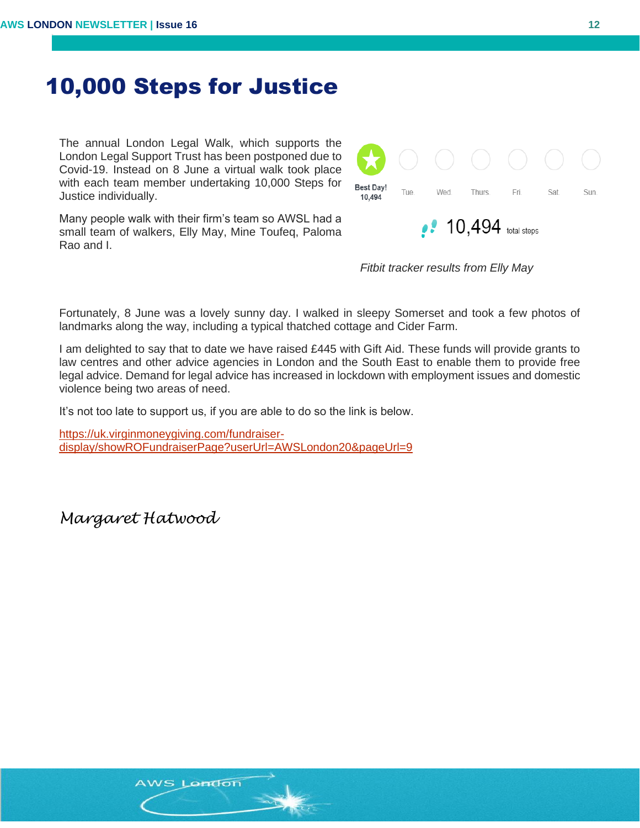### 10,000 Steps for Justice

The annual London Legal Walk, which supports the London Legal Support Trust has been postponed due to Covid-19. Instead on 8 June a virtual walk took place with each team member undertaking 10,000 Steps for Justice individually.

Many people walk with their firm's team so AWSL had a small team of walkers, Elly May, Mine Toufeq, Paloma Rao and I.



*Fitbit tracker results from Elly May*

Fortunately, 8 June was a lovely sunny day. I walked in sleepy Somerset and took a few photos of landmarks along the way, including a typical thatched cottage and Cider Farm.

I am delighted to say that to date we have raised  $£445$  with Gift Aid. These funds will provide grants to law centres and other advice agencies in London and the South East to enable them to provide free legal advice. Demand for legal advice has increased in lockdown with employment issues and domestic violence being two areas of need.

It's not too late to support us, if you are able to do so the link is below.

[https://uk.virginmoneygiving.com/fundraiser](https://uk.virginmoneygiving.com/fundraiser-display/showROFundraiserPage?userUrl=AWSLondon20&pageUrl=9)[display/showROFundraiserPage?userUrl=AWSLondon20&pageUrl=9](https://uk.virginmoneygiving.com/fundraiser-display/showROFundraiserPage?userUrl=AWSLondon20&pageUrl=9)

*Margaret Hatwood*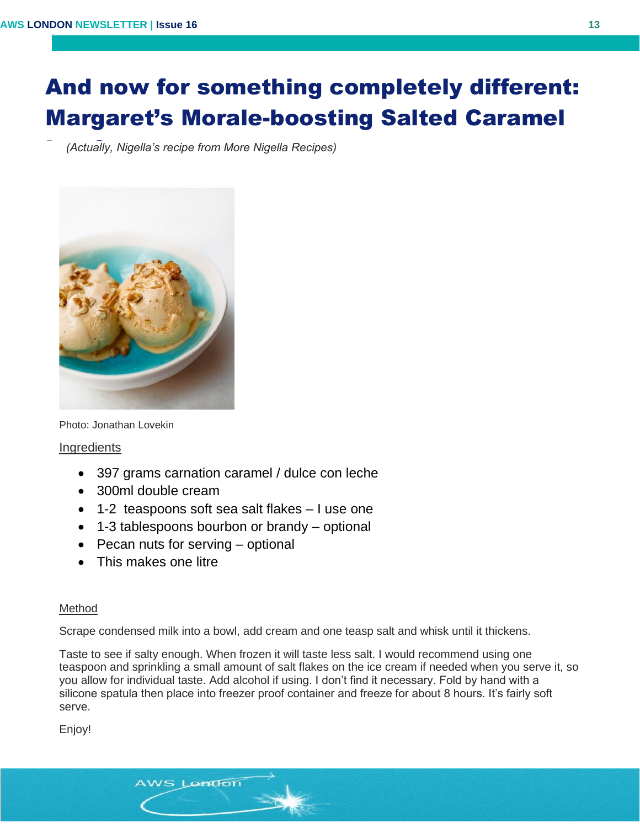# And now for something completely different: Margaret's Morale-boosting Salted Caramel

*(Actually, Nigella's recipe from More Nigella Recipes)* Ice Cream…



Photo: Jonathan Lovekin

**Ingredients** 

- 397 grams carnation caramel / dulce con leche
- 300ml double cream
- 1-2 teaspoons soft sea salt flakes I use one
- 1-3 tablespoons bourbon or brandy optional
- Pecan nuts for serving optional

AWS London

• This makes one litre

#### Method

Scrape condensed milk into a bowl, add cream and one teasp salt and whisk until it thickens.

Taste to see if salty enough. When frozen it will taste less salt. I would recommend using one teaspoon and sprinkling a small amount of salt flakes on the ice cream if needed when you serve it, so you allow for individual taste. Add alcohol if using. I don't find it necessary. Fold by hand with a silicone spatula then place into freezer proof container and freeze for about 8 hours. It's fairly soft serve.

Enjoy!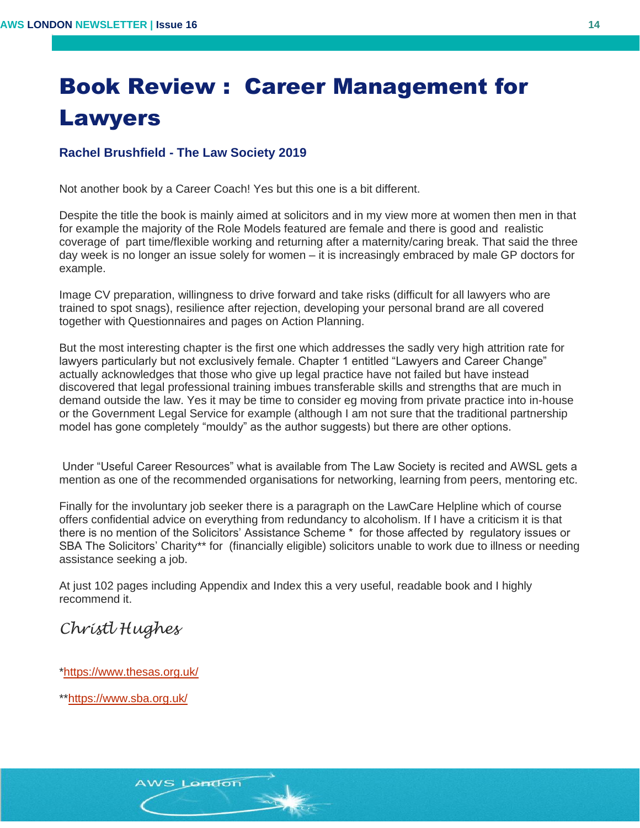# Book Review : Career Management for Lawyers

#### **Rachel Brushfield - The Law Society 2019 …**

Not another book by a Career Coach! Yes but this one is a bit different.

Despite the title the book is mainly aimed at solicitors and in my view more at women then men in that for example the majority of the Role Models featured are female and there is good and realistic coverage of part time/flexible working and returning after a maternity/caring break. That said the three day week is no longer an issue solely for women – it is increasingly embraced by male GP doctors for example.

Image CV preparation, willingness to drive forward and take risks (difficult for all lawyers who are trained to spot snags), resilience after rejection, developing your personal brand are all covered together with Questionnaires and pages on Action Planning.

But the most interesting chapter is the first one which addresses the sadly very high attrition rate for lawyers particularly but not exclusively female. Chapter 1 entitled "Lawyers and Career Change" actually acknowledges that those who give up legal practice have not failed but have instead discovered that legal professional training imbues transferable skills and strengths that are much in demand outside the law. Yes it may be time to consider eg moving from private practice into in-house or the Government Legal Service for example (although I am not sure that the traditional partnership model has gone completely "mouldy" as the author suggests) but there are other options.

Under "Useful Career Resources" what is available from The Law Society is recited and AWSL gets a mention as one of the recommended organisations for networking, learning from peers, mentoring etc.

Finally for the involuntary job seeker there is a paragraph on the LawCare Helpline which of course offers confidential advice on everything from redundancy to alcoholism. If I have a criticism it is that there is no mention of the Solicitors' Assistance Scheme \* for those affected by regulatory issues or SBA The Solicitors' Charity\*\* for (financially eligible) solicitors unable to work due to illness or needing assistance seeking a job.

At just 102 pages including Appendix and Index this a very useful, readable book and I highly recommend it.

### *Christl Hughes*

[\\*https://www.thesas.org.uk/](https://www.thesas.org.uk/)

\*[\\*https://www.sba.org.uk/](https://www.sba.org.uk/)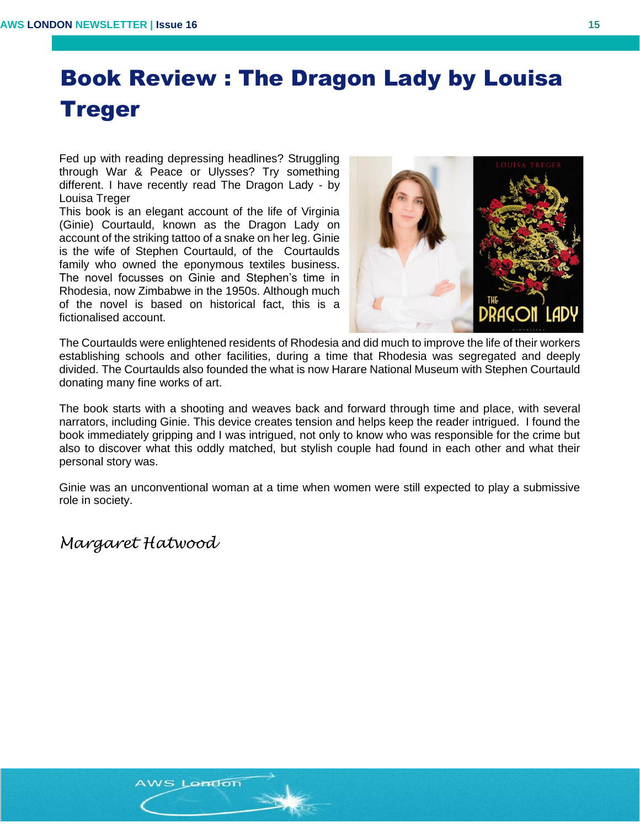# Book Review : The Dragon Lady by Louisa Treger

Fed up with reading depressing headlines? Struggling through War & Peace or Ulysses? Try something different. I have recently read The Dragon Lady - by Louisa Treger

This book is an elegant account of the life of Virginia (Ginie) Courtauld, known as the Dragon Lady on account of the striking tattoo of a snake on her leg. Ginie is the wife of Stephen Courtauld, of the Courtaulds family who owned the eponymous textiles business. The novel focusses on Ginie and Stephen's time in Rhodesia, now Zimbabwe in the 1950s. Although much of the novel is based on historical fact, this is a fictionalised account.



The Courtaulds were enlightened residents of Rhodesia and did much to improve the life of their workers establishing schools and other facilities, during a time that Rhodesia was segregated and deeply divided. The Courtaulds also founded the what is now Harare National Museum with Stephen Courtauld donating many fine works of art.

The book starts with a shooting and weaves back and forward through time and place, with several narrators, including Ginie. This device creates tension and helps keep the reader intrigued. I found the book immediately gripping and I was intrigued, not only to know who was responsible for the crime but also to discover what this oddly matched, but stylish couple had found in each other and what their personal story was.

Ginie was an unconventional woman at a time when women were still expected to play a submissive role in society.

*Margaret Hatwood*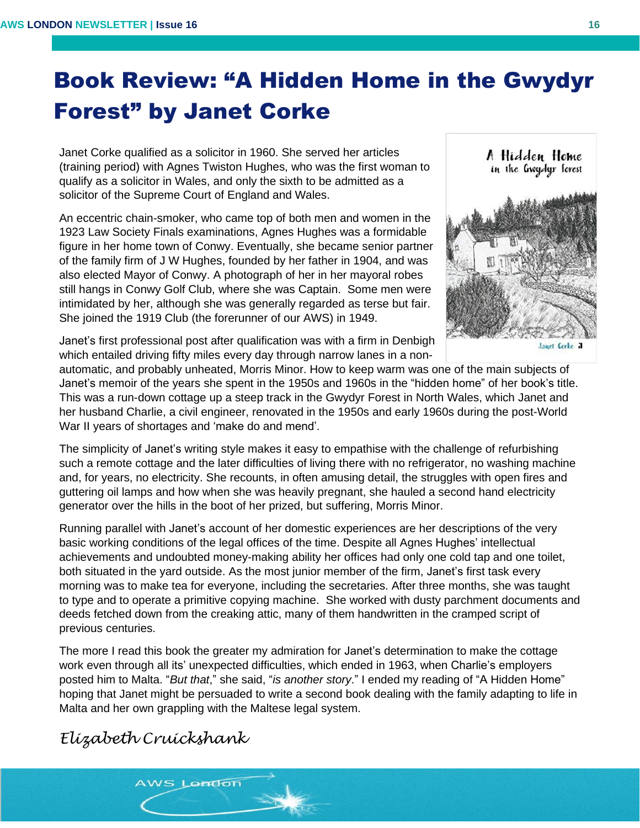# Book Review: "A Hidden Home in the Gwydyr Forest" by Janet Corke

Janet Corke qualified as a solicitor in 1960. She served her articles (training period) with Agnes Twiston Hughes, who was the first woman to qualify as a solicitor in Wales, and only the sixth to be admitted as a **…**solicitor of the Supreme Court of England and Wales.

An eccentric chain-smoker, who came top of both men and women in the 1923 Law Society Finals examinations, Agnes Hughes was a formidable figure in her home town of Conwy. Eventually, she became senior partner of the family firm of J W Hughes, founded by her father in 1904, and was also elected Mayor of Conwy. A photograph of her in her mayoral robes still hangs in Conwy Golf Club, where she was Captain. Some men were intimidated by her, although she was generally regarded as terse but fair. She joined the 1919 Club (the forerunner of our AWS) in 1949.



Janet's first professional post after qualification was with a firm in Denbigh which entailed driving fifty miles every day through narrow lanes in a non-

automatic, and probably unheated, Morris Minor. How to keep warm was one of the main subjects of Janet's memoir of the years she spent in the 1950s and 1960s in the "hidden home" of her book's title. This was a run-down cottage up a steep track in the Gwydyr Forest in North Wales, which Janet and her husband Charlie, a civil engineer, renovated in the 1950s and early 1960s during the post-World War II years of shortages and 'make do and mend'.

The simplicity of Janet's writing style makes it easy to empathise with the challenge of refurbishing such a remote cottage and the later difficulties of living there with no refrigerator, no washing machine and, for years, no electricity. She recounts, in often amusing detail, the struggles with open fires and guttering oil lamps and how when she was heavily pregnant, she hauled a second hand electricity generator over the hills in the boot of her prized, but suffering, Morris Minor.

Running parallel with Janet's account of her domestic experiences are her descriptions of the very basic working conditions of the legal offices of the time. Despite all Agnes Hughes' intellectual achievements and undoubted money-making ability her offices had only one cold tap and one toilet, both situated in the yard outside. As the most junior member of the firm, Janet's first task every morning was to make tea for everyone, including the secretaries. After three months, she was taught to type and to operate a primitive copying machine. She worked with dusty parchment documents and deeds fetched down from the creaking attic, many of them handwritten in the cramped script of previous centuries.

The more I read this book the greater my admiration for Janet's determination to make the cottage work even through all its' unexpected difficulties, which ended in 1963, when Charlie's employers posted him to Malta. "*But that*," she said, "*is another story*." I ended my reading of "A Hidden Home" hoping that Janet might be persuaded to write a second book dealing with the family adapting to life in Malta and her own grappling with the Maltese legal system.

### *Elizabeth Cruickshank*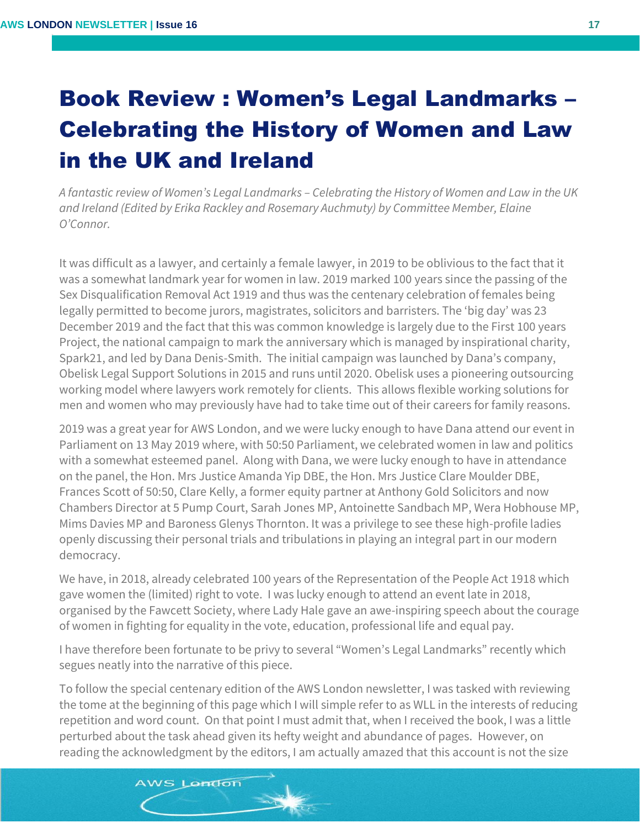# Book Review : Women's Legal Landmarks – Celebrating the History of Women and Law in the UK and Ireland

*A fantastic review of Women's Legal Landmarks – Celebrating the History of Women and Law in the UK and Ireland (Edited by Erika Rackley and Rosemary Auchmuty) by Committee Member, Elaine O'Connor.*

It was difficult as a lawyer, and certainly a female lawyer, in 2019 to be oblivious to the fact that it was a somewhat landmark year for women in law. 2019 marked 100 years since the passing of the Sex Disqualification Removal Act 1919 and thus was the centenary celebration of females being legally permitted to become jurors, magistrates, solicitors and barristers. The 'big day' was 23 December 2019 and the fact that this was common knowledge is largely due to the First 100 years Project, the national campaign to mark the anniversary which is managed by inspirational charity, Spark21, and led by Dana Denis-Smith. The initial campaign was launched by Dana's company, Obelisk Legal Support Solutions in 2015 and runs until 2020. Obelisk uses a pioneering outsourcing working model where lawyers work remotely for clients. This allows flexible working solutions for men and women who may previously have had to take time out of their careers for family reasons.

2019 was a great year for AWS London, and we were lucky enough to have Dana attend our event in Parliament on 13 May 2019 where, with 50:50 Parliament, we celebrated women in law and politics with a somewhat esteemed panel. Along with Dana, we were lucky enough to have in attendance on the panel, the Hon. Mrs Justice Amanda Yip DBE, the Hon. Mrs Justice Clare Moulder DBE, Frances Scott of 50:50, Clare Kelly, a former equity partner at Anthony Gold Solicitors and now Chambers Director at 5 Pump Court, Sarah Jones MP, Antoinette Sandbach MP, Wera Hobhouse MP, Mims Davies MP and Baroness Glenys Thornton. It was a privilege to see these high-profile ladies openly discussing their personal trials and tribulations in playing an integral part in our modern democracy.

We have, in 2018, already celebrated 100 years of the Representation of the People Act 1918 which gave women the (limited) right to vote. I was lucky enough to attend an event late in 2018, organised by the Fawcett Society, where Lady Hale gave an awe-inspiring speech about the courage of women in fighting for equality in the vote, education, professional life and equal pay.

I have therefore been fortunate to be privy to several "Women's Legal Landmarks" recently which segues neatly into the narrative of this piece.

To follow the special centenary edition of the AWS London newsletter, I was tasked with reviewing the tome at the beginning of this page which I will simple refer to as WLL in the interests of reducing repetition and word count. On that point I must admit that, when I received the book, I was a little perturbed about the task ahead given its hefty weight and abundance of pages. However, on reading the acknowledgment by the editors, I am actually amazed that this account is not the size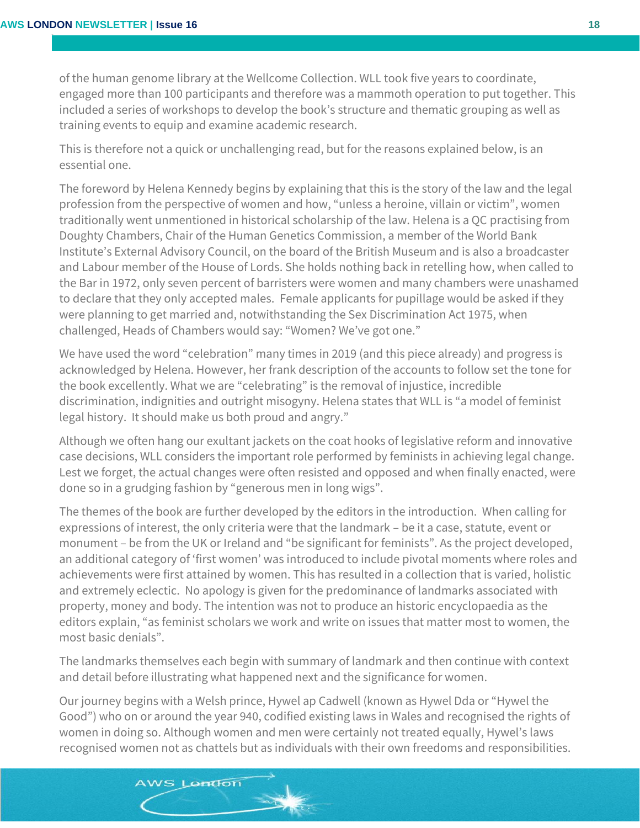of the human genome library at the Wellcome Collection. WLL took five years to coordinate, engaged more than 100 participants and therefore was a mammoth operation to put together. This included a series of workshops to develop the book's structure and thematic grouping as well as training events to equip and examine academic research.

This is therefore not a quick or unchallenging read, but for the reasons explained below, is an essential one.

The foreword by Helena Kennedy begins by explaining that this is the story of the law and the legal profession from the perspective of women and how, "unless a heroine, villain or victim", women traditionally went unmentioned in historical scholarship of the law. Helena is a QC practising from Doughty Chambers, Chair of the Human Genetics Commission, a member of the World Bank Institute's External Advisory Council, on the board of the British Museum and is also a broadcaster and Labour member of the House of Lords. She holds nothing back in retelling how, when called to the Bar in 1972, only seven percent of barristers were women and many chambers were unashamed to declare that they only accepted males. Female applicants for pupillage would be asked if they were planning to get married and, notwithstanding the Sex Discrimination Act 1975, when challenged, Heads of Chambers would say: "Women? We've got one."

We have used the word "celebration" many times in 2019 (and this piece already) and progress is acknowledged by Helena. However, her frank description of the accounts to follow set the tone for the book excellently. What we are "celebrating" is the removal of injustice, incredible discrimination, indignities and outright misogyny. Helena states that WLL is "a model of feminist legal history. It should make us both proud and angry."

Although we often hang our exultant jackets on the coat hooks of legislative reform and innovative case decisions, WLL considers the important role performed by feminists in achieving legal change. Lest we forget, the actual changes were often resisted and opposed and when finally enacted, were done so in a grudging fashion by "generous men in long wigs".

The themes of the book are further developed by the editors in the introduction. When calling for expressions of interest, the only criteria were that the landmark – be it a case, statute, event or monument – be from the UK or Ireland and "be significant for feminists". As the project developed, an additional category of 'first women' was introduced to include pivotal moments where roles and achievements were first attained by women. This has resulted in a collection that is varied, holistic and extremely eclectic. No apology is given for the predominance of landmarks associated with property, money and body. The intention was not to produce an historic encyclopaedia as the editors explain, "as feminist scholars we work and write on issues that matter most to women, the most basic denials".

The landmarks themselves each begin with summary of landmark and then continue with context and detail before illustrating what happened next and the significance for women.

Our journey begins with a Welsh prince, Hywel ap Cadwell (known as Hywel Dda or "Hywel the Good") who on or around the year 940, codified existing laws in Wales and recognised the rights of women in doing so. Although women and men were certainly not treated equally, Hywel's laws recognised women not as chattels but as individuals with their own freedoms and responsibilities.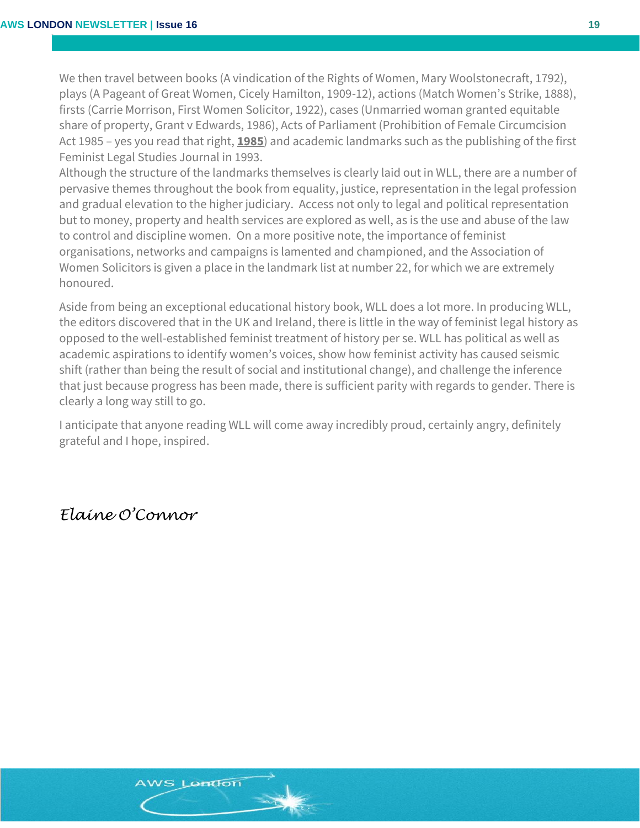We then travel between books (A vindication of the Rights of Women, Mary Woolstonecraft, 1792), plays (A Pageant of Great Women, Cicely Hamilton, 1909-12), actions (Match Women's Strike, 1888), firsts (Carrie Morrison, First Women Solicitor, 1922), cases (Unmarried woman granted equitable share of property, Grant v Edwards, 1986), Acts of Parliament (Prohibition of Female Circumcision Act 1985 – yes you read that right, **1985**) and academic landmarks such as the publishing of the first Feminist Legal Studies Journal in 1993.

Although the structure of the landmarks themselves is clearly laid out in WLL, there are a number of pervasive themes throughout the book from equality, justice, representation in the legal profession and gradual elevation to the higher judiciary. Access not only to legal and political representation but to money, property and health services are explored as well, as is the use and abuse of the law to control and discipline women. On a more positive note, the importance of feminist organisations, networks and campaigns is lamented and championed, and the Association of Women Solicitors is given a place in the landmark list at number 22, for which we are extremely honoured.

Aside from being an exceptional educational history book, WLL does a lot more. In producing WLL, the editors discovered that in the UK and Ireland, there is little in the way of feminist legal history as opposed to the well-established feminist treatment of history per se. WLL has political as well as academic aspirations to identify women's voices, show how feminist activity has caused seismic shift (rather than being the result of social and institutional change), and challenge the inference that just because progress has been made, there is sufficient parity with regards to gender. There is clearly a long way still to go.

I anticipate that anyone reading WLL will come away incredibly proud, certainly angry, definitely grateful and I hope, inspired.

### *Elaine O'Connor*